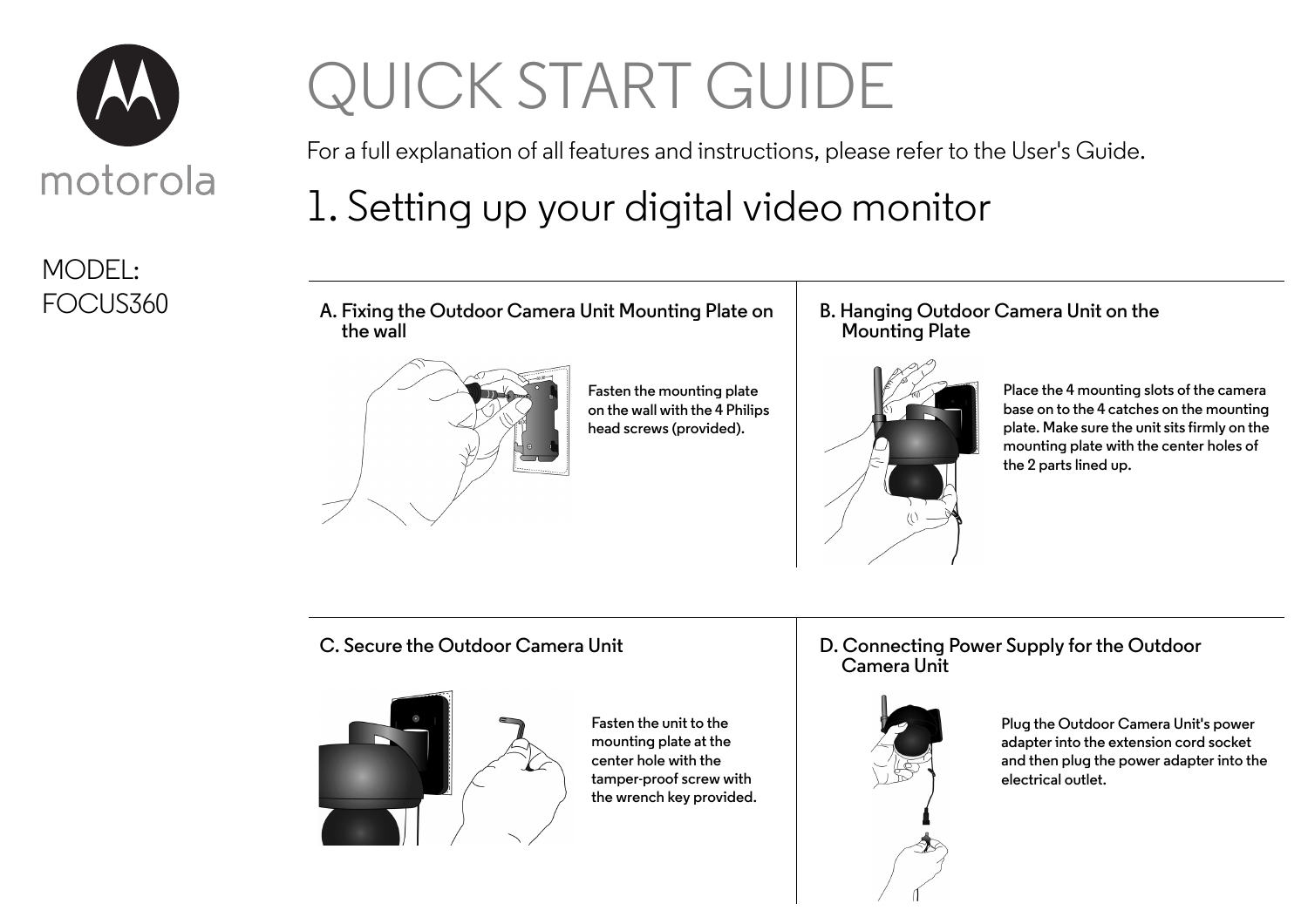

### MODEL: FOCUS360

# QUICK START GUIDE

For a full explanation of all features and instructions, please refer to the User's Guide.

# 1. Setting up your digital video monitor

**A. Fixing the Outdoor Camera Unit Mounting Plate on the wall**



**Fasten the mounting plate on the wall with the 4 Philips head screws (provided).**

#### **B. Hanging Outdoor Camera Unit on the Mounting Plate**



**Place the 4 mounting slots of the camera base on to the 4 catches on the mounting plate. Make sure the unit sits firmly on the mounting plate with the center holes of the 2 parts lined up.**

#### **C. Secure the Outdoor Camera Unit**



**Fasten the unit to the mounting plate at the center hole with the tamper-proof screw with the wrench key provided.**

#### **D. Connecting Power Supply for the Outdoor Camera Unit**



**Plug the Outdoor Camera Unit's power adapter into the extension cord socket and then plug the power adapter into the electrical outlet.**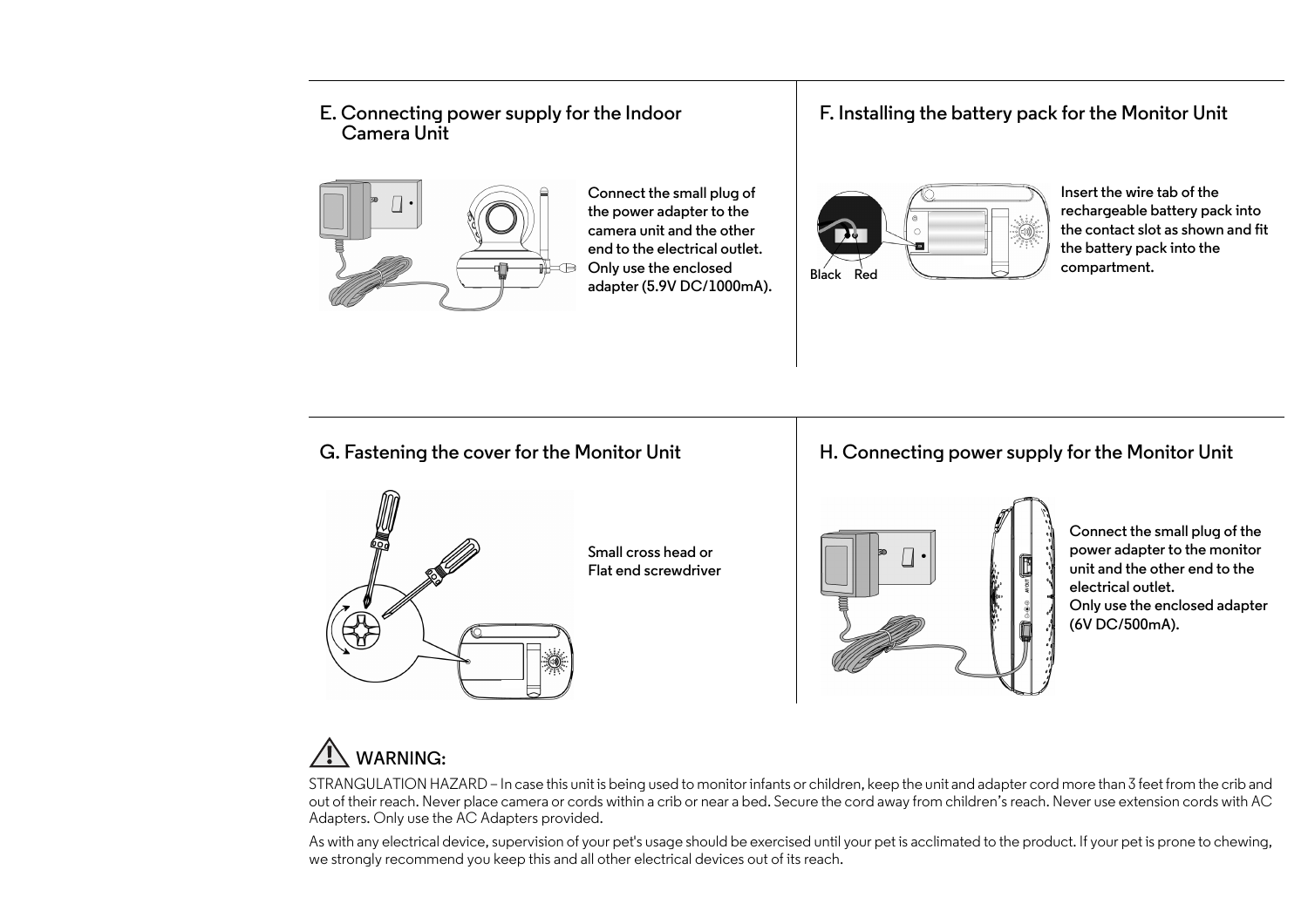#### **E. Connecting power supply for the Indoor Camera Unit**



**Connect the small plug of the power adapter to the camera unit and the other end to the electrical outlet. Only use the enclosed adapter (5.9V DC/1000mA).**

#### **F. Installing the battery pack for the Monitor Unit**



**Insert the wire tab of the rechargeable battery pack into the contact slot as shown and fit the battery pack into the compartment.**

#### **G. Fastening the cover for the Monitor Unit**



**Small cross head or Flat end screwdriver** 

#### **H. Connecting power supply for the Monitor Unit**



**Connect the small plug of the power adapter to the monitor unit and the other end to the electrical outlet. Only use the enclosed adapter (6V DC/500mA).**

### **WARNING:**

STRANGULATION HAZARD – In case this unit is being used to monitor infants or children, keep the unit and adapter cord more than 3 feet from the crib and out of their reach. Never place camera or cords within a crib or near a bed. Secure the cord away from children's reach. Never use extension cords with AC Adapters. Only use the AC Adapters provided.

As with any electrical device, supervision of your pet's usage should be exercised until your pet is acclimated to the product. If your pet is prone to chewing, we strongly recommend you keep this and all other electrical devices out of its reach.